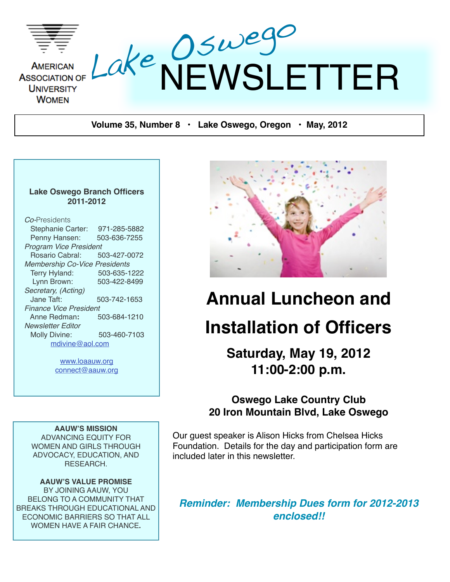

**Volume 35, Number 8 • Lake Oswego, Oregon • May, 2012**

#### **Lake Oswego Branch Officers 2011-2012**

| <b>Stephanie Carter:</b><br>971-285-5882 |  |  |  |  |  |
|------------------------------------------|--|--|--|--|--|
|                                          |  |  |  |  |  |
| Penny Hansen:<br>503-636-7255            |  |  |  |  |  |
| Program Vice President                   |  |  |  |  |  |
| Rosario Cabral:<br>503-427-0072          |  |  |  |  |  |
| <b>Membership Co-Vice Presidents</b>     |  |  |  |  |  |
| Terry Hyland:<br>503-635-1222            |  |  |  |  |  |
| Lynn Brown:<br>503-422-8499              |  |  |  |  |  |
| Secretary, (Acting)                      |  |  |  |  |  |
| Jane Taft:<br>503-742-1653               |  |  |  |  |  |
| <b>Finance Vice President</b>            |  |  |  |  |  |
| 503-684-1210<br>Anne Redman:             |  |  |  |  |  |
| Newsletter Editor                        |  |  |  |  |  |
| Molly Divine:<br>503-460-7103            |  |  |  |  |  |
| mdivine@aol.com                          |  |  |  |  |  |

[www.loaauw.org](http://www.loaauw.org) [connect@aauw.org](mailto:connect@aauw.org)

**AAUW'S MISSION** ADVANCING EQUITY FOR WOMEN AND GIRLS THROUGH ADVOCACY, EDUCATION, AND RESEARCH.

**AAUW'S VALUE PROMISE** BY JOINING AAUW, YOU BELONG TO A COMMUNITY THAT BREAKS THROUGH EDUCATIONAL AND ECONOMIC BARRIERS SO THAT ALL WOMEN HAVE A FAIR CHANCE**.**



# **Annual Luncheon and Installation of Officers**

**Saturday, May 19, 2012 11:00-2:00 p.m.**

### **Oswego Lake Country Club 20 Iron Mountain Blvd, Lake Oswego**

Our guest speaker is Alison Hicks from Chelsea Hicks Foundation. Details for the day and participation form are included later in this newsletter.

*Reminder: Membership Dues form for 2012-2013 enclosed!!*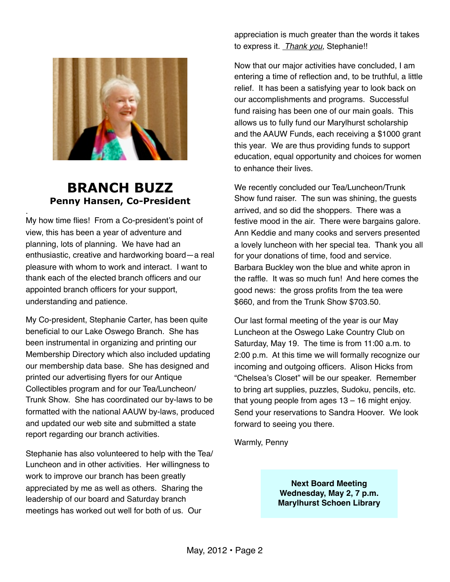

### **BRANCH BUZZ Penny Hansen, Co-President**

. My how time flies! From a Co-president's point of view, this has been a year of adventure and planning, lots of planning. We have had an enthusiastic, creative and hardworking board—a real pleasure with whom to work and interact. I want to thank each of the elected branch officers and our appointed branch officers for your support, understanding and patience.

My Co-president, Stephanie Carter, has been quite beneficial to our Lake Oswego Branch. She has been instrumental in organizing and printing our Membership Directory which also included updating our membership data base. She has designed and printed our advertising flyers for our Antique Collectibles program and for our Tea/Luncheon/ Trunk Show. She has coordinated our by-laws to be formatted with the national AAUW by-laws, produced and updated our web site and submitted a state report regarding our branch activities.

Stephanie has also volunteered to help with the Tea/ Luncheon and in other activities. Her willingness to work to improve our branch has been greatly appreciated by me as well as others. Sharing the leadership of our board and Saturday branch meetings has worked out well for both of us. Our

appreciation is much greater than the words it takes to express it. *Thank you*, Stephanie!!

Now that our major activities have concluded, I am entering a time of reflection and, to be truthful, a little relief. It has been a satisfying year to look back on our accomplishments and programs. Successful fund raising has been one of our main goals. This allows us to fully fund our Marylhurst scholarship and the AAUW Funds, each receiving a \$1000 grant this year. We are thus providing funds to support education, equal opportunity and choices for women to enhance their lives.

We recently concluded our Tea/Luncheon/Trunk Show fund raiser. The sun was shining, the guests arrived, and so did the shoppers. There was a festive mood in the air. There were bargains galore. Ann Keddie and many cooks and servers presented a lovely luncheon with her special tea. Thank you all for your donations of time, food and service. Barbara Buckley won the blue and white apron in the raffle. It was so much fun! And here comes the good news: the gross profits from the tea were \$660, and from the Trunk Show \$703.50.

Our last formal meeting of the year is our May Luncheon at the Oswego Lake Country Club on Saturday, May 19. The time is from 11:00 a.m. to 2:00 p.m. At this time we will formally recognize our incoming and outgoing officers. Alison Hicks from "Chelsea's Closet" will be our speaker. Remember to bring art supplies, puzzles, Sudoku, pencils, etc. that young people from ages 13 – 16 might enjoy. Send your reservations to Sandra Hoover. We look forward to seeing you there.

Warmly, Penny

**Next Board Meeting Wednesday, May 2, 7 p.m. Marylhurst Schoen Library**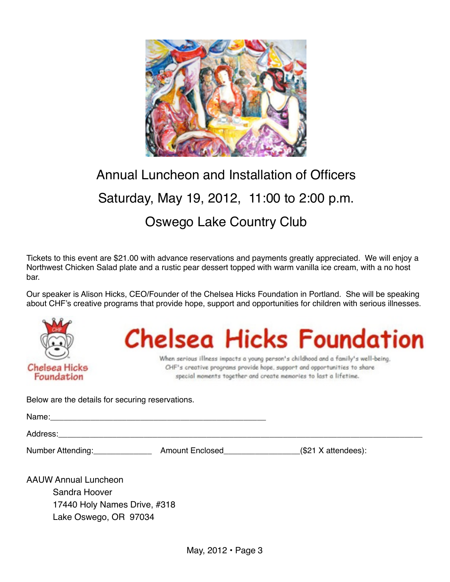

# Annual Luncheon and Installation of Officers Saturday, May 19, 2012, 11:00 to 2:00 p.m. Oswego Lake Country Club

Tickets to this event are \$21.00 with advance reservations and payments greatly appreciated. We will enjoy a Northwest Chicken Salad plate and a rustic pear dessert topped with warm vanilla ice cream, with a no host bar.

Our speaker is Alison Hicks, CEO/Founder of the Chelsea Hicks Foundation in Portland. She will be speaking about CHF's creative programs that provide hope, support and opportunities for children with serious illnesses.



# **Chelsea Hicks Foundation**

When serious illness impacts a young person's childhood and a family's well-being, CHF's creative programs provide hope, support and opportunities to share special moments together and create memories to last a lifetime.

Below are the details for securing reservations.

| Name'<br><u>und</u> |  |  |  |
|---------------------|--|--|--|
|                     |  |  |  |
|                     |  |  |  |

Address:\_\_\_\_\_\_\_\_\_\_\_\_\_\_\_\_\_\_\_\_\_\_\_\_\_\_\_\_\_\_\_\_\_\_\_\_\_\_\_\_\_\_\_\_\_\_\_\_\_\_\_\_\_\_\_\_\_\_\_\_\_\_\_\_\_\_\_\_\_\_\_\_\_\_\_\_\_\_\_\_\_

Number Attending: \_\_\_\_\_\_\_\_\_\_\_\_\_\_\_\_\_\_\_\_\_ Amount Enclosed\_\_\_\_\_\_\_\_\_\_\_\_\_\_\_\_\_\_\_(\$21 X attendees):

AAUW Annual Luncheon Sandra Hoover 17440 Holy Names Drive, #318 Lake Oswego, OR 97034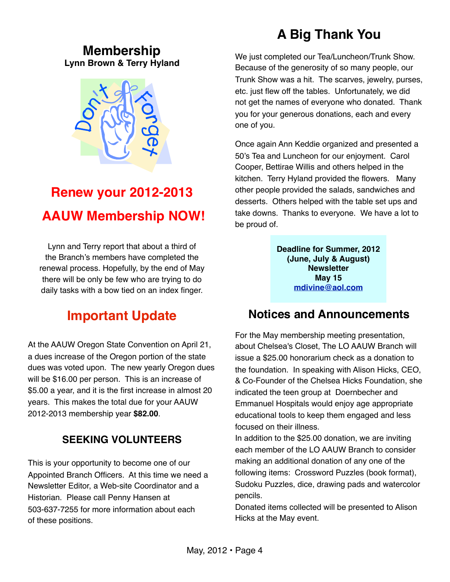### **Membership Lynn Brown & Terry Hyland**



## **Renew your 2012-2013 AAUW Membership NOW!**

Lynn and Terry report that about a third of the Branch's members have completed the renewal process. Hopefully, by the end of May there will be only be few who are trying to do daily tasks with a bow tied on an index finger.

### **Important Update**

At the AAUW Oregon State Convention on April 21, a dues increase of the Oregon portion of the state dues was voted upon. The new yearly Oregon dues will be \$16.00 per person. This is an increase of \$5.00 a year, and it is the first increase in almost 20 years. This makes the total due for your AAUW 2012-2013 membership year **\$82.00**.

### **SEEKING VOLUNTEERS**

This is your opportunity to become one of our Appointed Branch Officers. At this time we need a Newsletter Editor, a Web-site Coordinator and a Historian. Please call Penny Hansen at 503-637-7255 for more information about each of these positions.

### **A Big Thank You**

We just completed our Tea/Luncheon/Trunk Show. Because of the generosity of so many people, our Trunk Show was a hit. The scarves, jewelry, purses, etc. just flew off the tables. Unfortunately, we did not get the names of everyone who donated. Thank you for your generous donations, each and every one of you.

Once again Ann Keddie organized and presented a 50's Tea and Luncheon for our enjoyment. Carol Cooper, Bettirae Willis and others helped in the kitchen. Terry Hyland provided the flowers. Many other people provided the salads, sandwiches and desserts. Others helped with the table set ups and take downs. Thanks to everyone. We have a lot to be proud of.

> **Deadline for Summer, 2012 (June, July & August) Newsletter May 15 [mdivine@aol.com](mailto:mdivine@aol.com)**

### **Notices and Announcements**

For the May membership meeting presentation, about Chelsea's Closet, The LO AAUW Branch will issue a \$25.00 honorarium check as a donation to the foundation. In speaking with Alison Hicks, CEO, & Co-Founder of the Chelsea Hicks Foundation, she indicated the teen group at Doernbecher and Emmanuel Hospitals would enjoy age appropriate educational tools to keep them engaged and less focused on their illness.

In addition to the \$25.00 donation, we are inviting each member of the LO AAUW Branch to consider making an additional donation of any one of the following items: Crossword Puzzles (book format), Sudoku Puzzles, dice, drawing pads and watercolor pencils.

Donated items collected will be presented to Alison Hicks at the May event.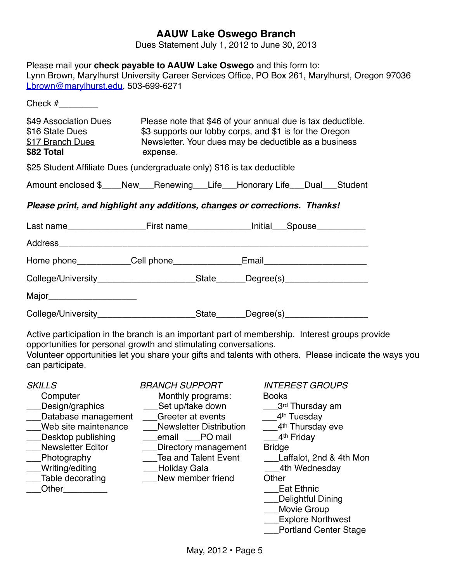### **AAUW Lake Oswego Branch**

Dues Statement July 1, 2012 to June 30, 2013

| Please mail your check payable to AAUW Lake Oswego and this form to:<br>Lynn Brown, Marylhurst University Career Services Office, PO Box 261, Marylhurst, Oregon 97036<br>Lbrown@marylhurst.edu, 503-699-6271                                                                                    |                                                                                                                                                                                 |                        |  |
|--------------------------------------------------------------------------------------------------------------------------------------------------------------------------------------------------------------------------------------------------------------------------------------------------|---------------------------------------------------------------------------------------------------------------------------------------------------------------------------------|------------------------|--|
| Check $#$                                                                                                                                                                                                                                                                                        |                                                                                                                                                                                 |                        |  |
| \$49 Association Dues<br>\$16 State Dues<br>\$17 Branch Dues<br>\$82 Total                                                                                                                                                                                                                       | Please note that \$46 of your annual due is tax deductible.<br>\$3 supports our lobby corps, and \$1 is for the Oregon<br>Newsletter. Your dues may be deductible as a business |                        |  |
| \$25 Student Affiliate Dues (undergraduate only) \$16 is tax deductible                                                                                                                                                                                                                          |                                                                                                                                                                                 |                        |  |
| Amount enclosed \$____New___Renewing___Life___Honorary Life___Dual___Student                                                                                                                                                                                                                     |                                                                                                                                                                                 |                        |  |
| Please print, and highlight any additions, changes or corrections. Thanks!                                                                                                                                                                                                                       |                                                                                                                                                                                 |                        |  |
| Last name________________________First name__________________Initial____Spouse_____________                                                                                                                                                                                                      |                                                                                                                                                                                 |                        |  |
|                                                                                                                                                                                                                                                                                                  |                                                                                                                                                                                 |                        |  |
| Home phone____________Cell phone_________________Email__________________________                                                                                                                                                                                                                 |                                                                                                                                                                                 |                        |  |
| College/University____________________________State_______Degree(s)_____________                                                                                                                                                                                                                 |                                                                                                                                                                                 |                        |  |
| Major_________________________                                                                                                                                                                                                                                                                   |                                                                                                                                                                                 |                        |  |
| College/University___________________________State_______Degree(s)______________                                                                                                                                                                                                                 |                                                                                                                                                                                 |                        |  |
| Active participation in the branch is an important part of membership. Interest groups provide<br>opportunities for personal growth and stimulating conversations.<br>Volunteer opportunities let you share your gifts and talents with others. Please indicate the ways you<br>can participate. |                                                                                                                                                                                 |                        |  |
| <b>SKILLS</b>                                                                                                                                                                                                                                                                                    | BRANCH SUPPORT                                                                                                                                                                  | <b>INTEREST GROUPS</b> |  |

| SKILLS                   | BRANCH SUPPORT                 | INTEREST GRUUPS              |
|--------------------------|--------------------------------|------------------------------|
| Computer                 | Monthly programs:              | <b>Books</b>                 |
| Design/graphics          | Set up/take down               | .3 <sup>rd</sup> Thursday am |
| Database management      | Greeter at events              | 4 <sup>th</sup> Tuesday      |
| Web site maintenance     | <b>Newsletter Distribution</b> | 4 <sup>th</sup> Thursday eve |
| Desktop publishing       | email PO mail                  | 4 <sup>th</sup> Friday       |
| <b>Newsletter Editor</b> | Directory management           | <b>Bridge</b>                |
| Photography              | <b>Tea and Talent Event</b>    | Laffalot, 2nd & 4th Mon      |
| Writing/editing          | Holiday Gala                   | 4th Wednesday                |
| Table decorating         | New member friend              | Other                        |
| Other                    |                                | <b>Eat Ethnic</b>            |
|                          |                                | Delightful Dining            |
|                          |                                | <b>Movie Group</b>           |
|                          |                                | <b>Explore Northwest</b>     |
|                          |                                |                              |

\_\_Portland Center Stage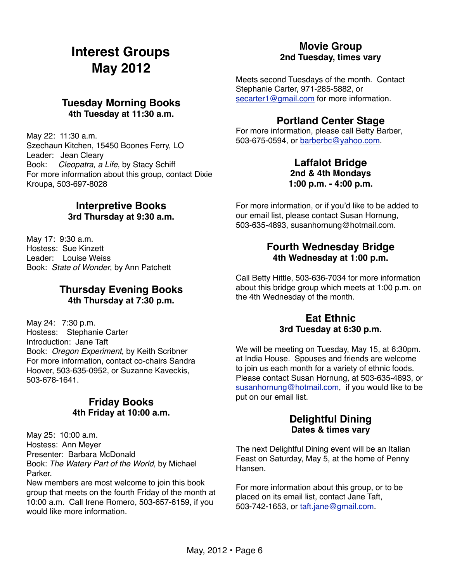### **Interest Groups May 2012**

### **Tuesday Morning Books 4th Tuesday at 11:30 a.m.**

May 22: 11:30 a.m. Szechaun Kitchen, 15450 Boones Ferry, LO Leader: Jean Cleary Book: *Cleopatra, a Life*, by Stacy Schiff For more information about this group, contact Dixie Kroupa, 503-697-8028

#### **Interpretive Books 3rd Thursday at 9:30 a.m.**

May 17: 9:30 a.m. Hostess: Sue Kinzett Leader: Louise Weiss Book: *State of Wonder*, by Ann Patchett

#### **Thursday Evening Books 4th Thursday at 7:30 p.m.**

May 24: 7:30 p.m. Hostess: Stephanie Carter Introduction: Jane Taft Book: *Oregon Experiment*, by Keith Scribner For more information, contact co-chairs Sandra Hoover, 503-635-0952, or Suzanne Kaveckis, 503-678-1641.

### **Friday Books 4th Friday at 10:00 a.m.**

May 25: 10:00 a.m. Hostess: Ann Meyer Presenter: Barbara McDonald Book: *The Watery Part of the World,* by Michael Parker.

New members are most welcome to join this book group that meets on the fourth Friday of the month at 10:00 a.m. Call Irene Romero, 503-657-6159, if you would like more information

#### **Movie Group 2nd Tuesday, times vary**

Meets second Tuesdays of the month. Contact Stephanie Carter, 971-285-5882, or [secarter1@gmail.com](mailto:secarter1@gmail.com) for more information.

### **Portland Center Stage**

For more information, please call Betty Barber, 503-675-0594, or [barberbc@yahoo.com.](mailto:barberbc@yahoo.com)

#### **Laffalot Bridge 2nd & 4th Mondays 1:00 p.m. - 4:00 p.m.**

For more information, or if you'd like to be added to our email list, please contact Susan Hornung, 503-635-4893, susanhornung@hotmail.com.

#### **Fourth Wednesday Bridge 4th Wednesday at 1:00 p.m.**

Call Betty Hittle, 503-636-7034 for more information about this bridge group which meets at 1:00 p.m. on the 4th Wednesday of the month.

#### **Eat Ethnic 3rd Tuesday at 6:30 p.m.**

We will be meeting on Tuesday, May 15, at 6:30pm. at India House. Spouses and friends are welcome to join us each month for a variety of ethnic foods. Please contact Susan Hornung, at 503-635-4893, or [susanhornung@hotmail.com,](mailto:susanhornung@hotmail.com) if you would like to be put on our email list.

### **Delightful Dining Dates & times vary**

The next Delightful Dining event will be an Italian Feast on Saturday, May 5, at the home of Penny Hansen.

For more information about this group, or to be placed on its email list, contact Jane Taft, 503-742-1653, or [taft.jane@gmail.com.](mailto:taft.jane@gmail.com)